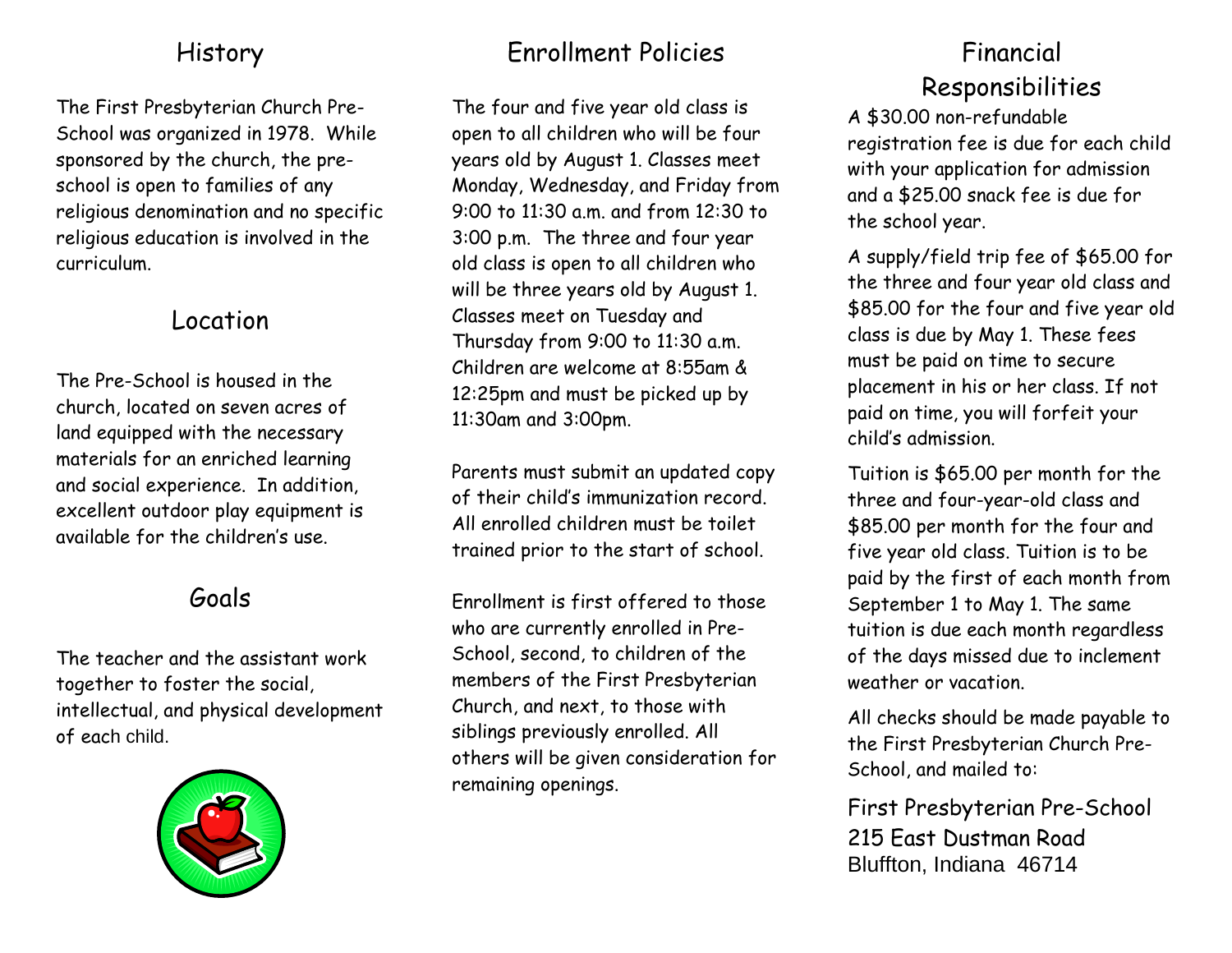#### History

The First Presbyterian Church Pre-School was organized in 1978. While sponsored by the church, the preschool is open to families of any religious denomination and no specific religious education is involved in the curriculum.

#### Location

The Pre-School is housed in the church, located on seven acres of land equipped with the necessary materials for an enriched learning and social experience. In addition, excellent outdoor play equipment is available for the children's use.

## Goals

The teacher and the assistant work together to foster the social, intellectual, and physical development of each child.



## Enrollment Policies

The four and five year old class is open to all children who will be four years old by August 1. Classes meet Monday, Wednesday, and Friday from 9:00 to 11:30 a.m. and from 12:30 to 3:00 p.m. The three and four year old class is open to all children who will be three years old by August 1. Classes meet on Tuesday and Thursday from 9:00 to 11:30 a.m. Children are welcome at 8:55am & 12:25pm and must be picked up by 11:30am and 3:00pm.

Parents must submit an updated copy of their child's immunization record. All enrolled children must be toilet trained prior to the start of school.

Enrollment is first offered to those who are currently enrolled in Pre-School, second, to children of the members of the First Presbyterian Church, and next, to those with siblings previously enrolled. All others will be given consideration for remaining openings.

# Financial Responsibilities

A \$30.00 non-refundable registration fee is due for each child with your application for admission and a \$25.00 snack fee is due for the school year.

A supply/field trip fee of \$65.00 for the three and four year old class and \$85.00 for the four and five year old class is due by May 1. These fees must be paid on time to secure placement in his or her class. If not paid on time, you will forfeit your child's admission.

Tuition is \$65.00 per month for the three and four-year-old class and \$85.00 per month for the four and five year old class. Tuition is to be paid by the first of each month from September 1 to May 1. The same tuition is due each month regardless of the days missed due to inclement weather or vacation.

All checks should be made payable to the First Presbyterian Church Pre-School, and mailed to:

First Presbyterian Pre-School 215 East Dustman Road Bluffton, Indiana 46714